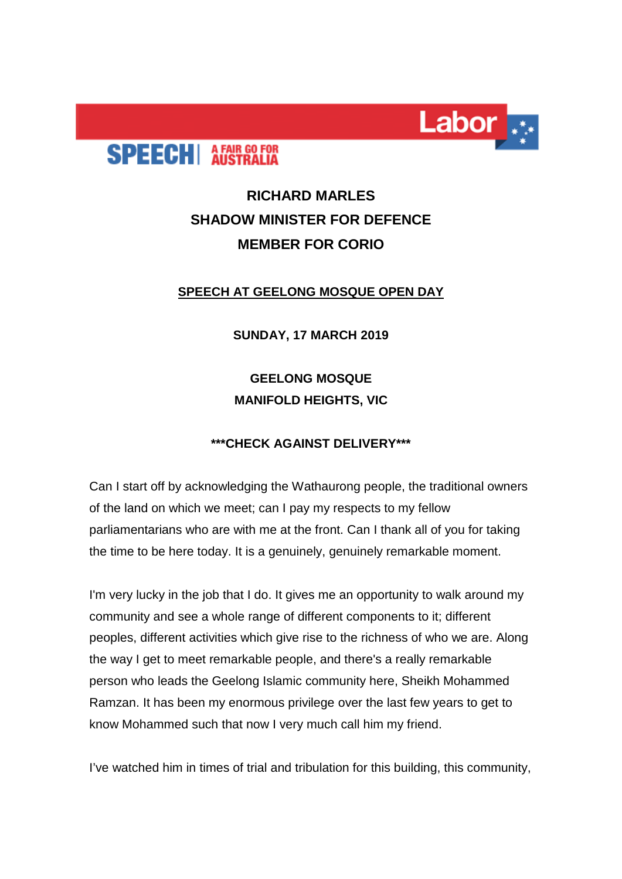



## **RICHARD MARLES SHADOW MINISTER FOR DEFENCE MEMBER FOR CORIO**

## **SPEECH AT GEELONG MOSQUE OPEN DAY**

**SUNDAY, 17 MARCH 2019**

**GEELONG MOSQUE MANIFOLD HEIGHTS, VIC**

## **\*\*\*CHECK AGAINST DELIVERY\*\*\***

Can I start off by acknowledging the Wathaurong people, the traditional owners of the land on which we meet; can I pay my respects to my fellow parliamentarians who are with me at the front. Can I thank all of you for taking the time to be here today. It is a genuinely, genuinely remarkable moment.

I'm very lucky in the job that I do. It gives me an opportunity to walk around my community and see a whole range of different components to it; different peoples, different activities which give rise to the richness of who we are. Along the way I get to meet remarkable people, and there's a really remarkable person who leads the Geelong Islamic community here, Sheikh Mohammed Ramzan. It has been my enormous privilege over the last few years to get to know Mohammed such that now I very much call him my friend.

I've watched him in times of trial and tribulation for this building, this community,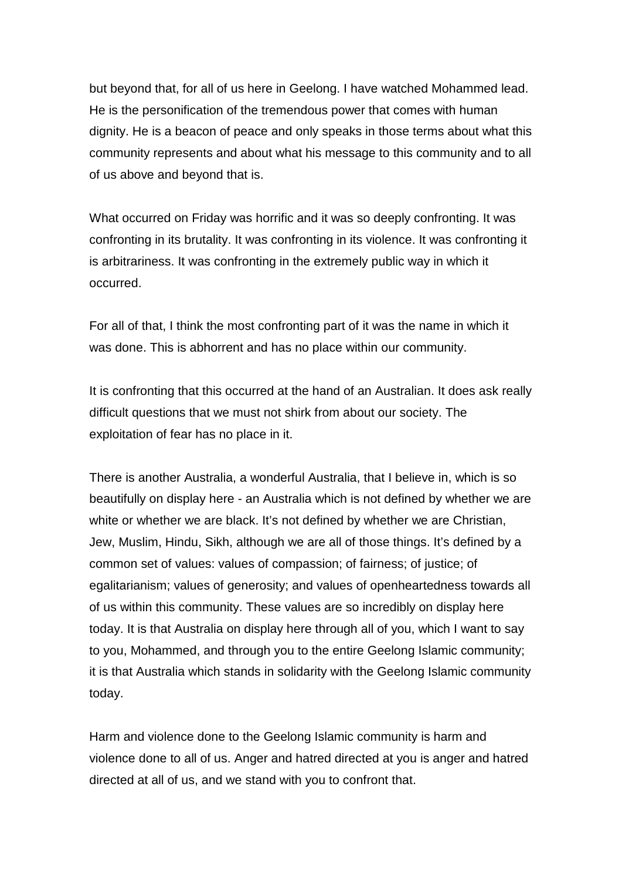but beyond that, for all of us here in Geelong. I have watched Mohammed lead. He is the personification of the tremendous power that comes with human dignity. He is a beacon of peace and only speaks in those terms about what this community represents and about what his message to this community and to all of us above and beyond that is.

What occurred on Friday was horrific and it was so deeply confronting. It was confronting in its brutality. It was confronting in its violence. It was confronting it is arbitrariness. It was confronting in the extremely public way in which it occurred.

For all of that, I think the most confronting part of it was the name in which it was done. This is abhorrent and has no place within our community.

It is confronting that this occurred at the hand of an Australian. It does ask really difficult questions that we must not shirk from about our society. The exploitation of fear has no place in it.

There is another Australia, a wonderful Australia, that I believe in, which is so beautifully on display here - an Australia which is not defined by whether we are white or whether we are black. It's not defined by whether we are Christian, Jew, Muslim, Hindu, Sikh, although we are all of those things. It's defined by a common set of values: values of compassion; of fairness; of justice; of egalitarianism; values of generosity; and values of openheartedness towards all of us within this community. These values are so incredibly on display here today. It is that Australia on display here through all of you, which I want to say to you, Mohammed, and through you to the entire Geelong Islamic community; it is that Australia which stands in solidarity with the Geelong Islamic community today.

Harm and violence done to the Geelong Islamic community is harm and violence done to all of us. Anger and hatred directed at you is anger and hatred directed at all of us, and we stand with you to confront that.